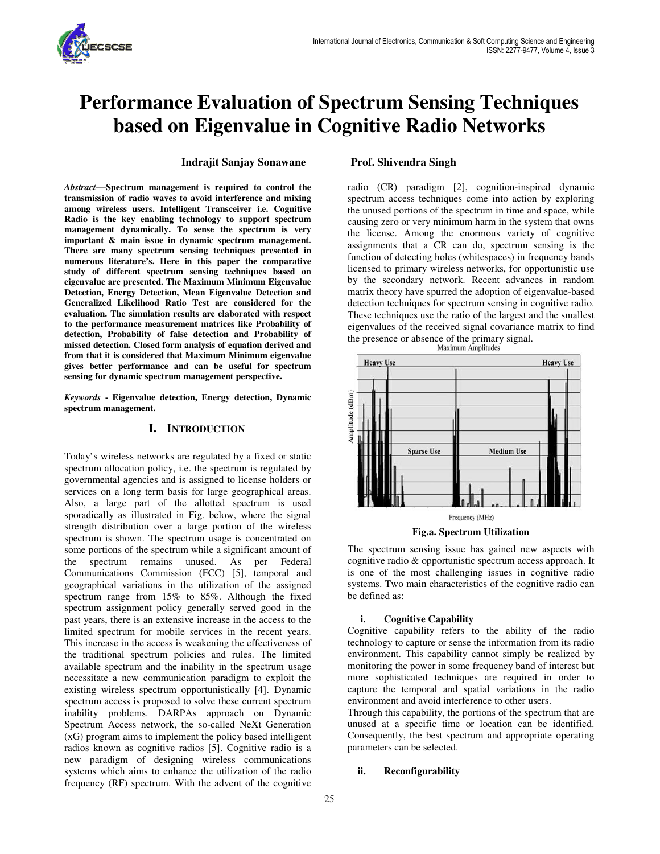

# **Performance Evaluation of Spectrum Sensing Techniques based on Eigenvalue in Cognitive Radio Networks**

### **Indrajit Sanjay Sonawane Prof. Shivendra Singh**

*Abstract*—**Spectrum management is required to control the transmission of radio waves to avoid interference and mixing among wireless users. Intelligent Transceiver i.e. Cognitive Radio is the key enabling technology to support spectrum management dynamically. To sense the spectrum is very important & main issue in dynamic spectrum management. There are many spectrum sensing techniques presented in numerous literature's. Here in this paper the comparative study of different spectrum sensing techniques based on eigenvalue are presented. The Maximum Minimum Eigenvalue Detection, Energy Detection, Mean Eigenvalue Detection and Generalized Likelihood Ratio Test are considered for the evaluation. The simulation results are elaborated with respect to the performance measurement matrices like Probability of detection, Probability of false detection and Probability of missed detection. Closed form analysis of equation derived and from that it is considered that Maximum Minimum eigenvalue gives better performance and can be useful for spectrum sensing for dynamic spectrum management perspective.** 

*Keywords* **- Eigenvalue detection, Energy detection, Dynamic spectrum management.** 

#### **I. INTRODUCTION**

Today's wireless networks are regulated by a fixed or static spectrum allocation policy, i.e. the spectrum is regulated by governmental agencies and is assigned to license holders or services on a long term basis for large geographical areas. Also, a large part of the allotted spectrum is used sporadically as illustrated in Fig. below, where the signal strength distribution over a large portion of the wireless spectrum is shown. The spectrum usage is concentrated on some portions of the spectrum while a significant amount of the spectrum remains unused. As per Federal Communications Commission (FCC) [5], temporal and geographical variations in the utilization of the assigned spectrum range from 15% to 85%. Although the fixed spectrum assignment policy generally served good in the past years, there is an extensive increase in the access to the limited spectrum for mobile services in the recent years. This increase in the access is weakening the effectiveness of the traditional spectrum policies and rules. The limited available spectrum and the inability in the spectrum usage necessitate a new communication paradigm to exploit the existing wireless spectrum opportunistically [4]. Dynamic spectrum access is proposed to solve these current spectrum inability problems. DARPAs approach on Dynamic Spectrum Access network, the so-called NeXt Generation (xG) program aims to implement the policy based intelligent radios known as cognitive radios [5]. Cognitive radio is a new paradigm of designing wireless communications systems which aims to enhance the utilization of the radio frequency (RF) spectrum. With the advent of the cognitive

radio (CR) paradigm [2], cognition-inspired dynamic spectrum access techniques come into action by exploring the unused portions of the spectrum in time and space, while causing zero or very minimum harm in the system that owns the license. Among the enormous variety of cognitive assignments that a CR can do, spectrum sensing is the function of detecting holes (whitespaces) in frequency bands licensed to primary wireless networks, for opportunistic use by the secondary network. Recent advances in random matrix theory have spurred the adoption of eigenvalue-based detection techniques for spectrum sensing in cognitive radio. These techniques use the ratio of the largest and the smallest eigenvalues of the received signal covariance matrix to find the presence or absence of the primary signal.<br>Maximum Amplitudes



#### **Fig.a. Spectrum Utilization**

The spectrum sensing issue has gained new aspects with cognitive radio & opportunistic spectrum access approach. It is one of the most challenging issues in cognitive radio systems. Two main characteristics of the cognitive radio can be defined as:

### **i. Cognitive Capability**

Cognitive capability refers to the ability of the radio technology to capture or sense the information from its radio environment. This capability cannot simply be realized by monitoring the power in some frequency band of interest but more sophisticated techniques are required in order to capture the temporal and spatial variations in the radio environment and avoid interference to other users.

Through this capability, the portions of the spectrum that are unused at a specific time or location can be identified. Consequently, the best spectrum and appropriate operating parameters can be selected.

### **ii. Reconfigurability**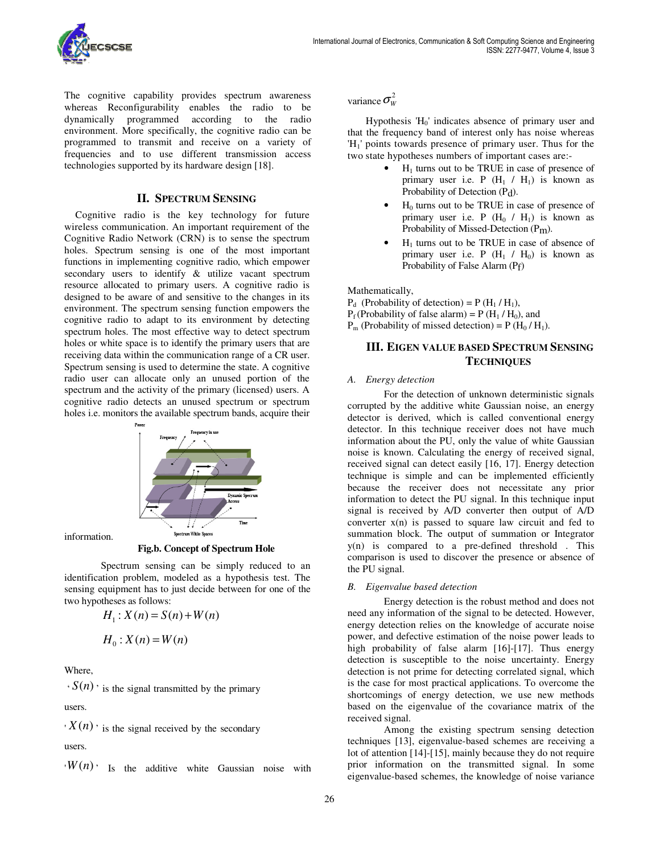

The cognitive capability provides spectrum awareness whereas Reconfigurability enables the radio to be dynamically programmed according to the radio environment. More specifically, the cognitive radio can be programmed to transmit and receive on a variety of frequencies and to use different transmission access technologies supported by its hardware design [18].

## **II. SPECTRUM SENSING**

Cognitive radio is the key technology for future wireless communication. An important requirement of the Cognitive Radio Network (CRN) is to sense the spectrum holes. Spectrum sensing is one of the most important functions in implementing cognitive radio, which empower secondary users to identify & utilize vacant spectrum resource allocated to primary users. A cognitive radio is designed to be aware of and sensitive to the changes in its environment. The spectrum sensing function empowers the cognitive radio to adapt to its environment by detecting spectrum holes. The most effective way to detect spectrum holes or white space is to identify the primary users that are receiving data within the communication range of a CR user. Spectrum sensing is used to determine the state. A cognitive radio user can allocate only an unused portion of the spectrum and the activity of the primary (licensed) users. A cognitive radio detects an unused spectrum or spectrum holes i.e. monitors the available spectrum bands, acquire their



information.

**Fig.b. Concept of Spectrum Hole** 

Spectrum sensing can be simply reduced to an identification problem, modeled as a hypothesis test. The sensing equipment has to just decide between for one of the two hypotheses as follows:

$$
H_1: X(n) = S(n) + W(n)
$$

$$
H_0: X(n) = W(n)
$$

Where,

 $\cdot S(n)$  is the signal transmitted by the primary

users.

 $X(n)$  is the signal received by the secondary

users.

 $\cdot W(n)$ <sup>,</sup> Is the additive white Gaussian noise with

variance  $\sigma_w^2$ 

Hypothesis  $H_0'$  indicates absence of primary user and that the frequency band of interest only has noise whereas 'H<sup>1</sup> ' points towards presence of primary user. Thus for the two state hypotheses numbers of important cases are:-

- $\bullet$   $H_1$  turns out to be TRUE in case of presence of primary user i.e. P  $(H_1 / H_1)$  is known as Probability of Detection (Pd).
- $H_0$  turns out to be TRUE in case of presence of primary user i.e.  $P(H_0 / H_1)$  is known as Probability of Missed-Detection (Pm).
- $H<sub>1</sub>$  turns out to be TRUE in case of absence of primary user i.e. P  $(H_1 / H_0)$  is known as Probability of False Alarm (Pf)

Mathematically,

- $P_d$  (Probability of detection) = P (H<sub>1</sub>/H<sub>1</sub>),
- $P_f$ (Probability of false alarm) = P (H<sub>1</sub> / H<sub>0</sub>), and
- $P_m$  (Probability of missed detection) = P (H<sub>0</sub> / H<sub>1</sub>).

# **III. EIGEN VALUE BASED SPECTRUM SENSING TECHNIQUES**

#### *A. Energy detection*

For the detection of unknown deterministic signals corrupted by the additive white Gaussian noise, an energy detector is derived, which is called conventional energy detector. In this technique receiver does not have much information about the PU, only the value of white Gaussian noise is known. Calculating the energy of received signal, received signal can detect easily [16, 17]. Energy detection technique is simple and can be implemented efficiently because the receiver does not necessitate any prior information to detect the PU signal. In this technique input signal is received by A/D converter then output of A/D converter  $x(n)$  is passed to square law circuit and fed to summation block. The output of summation or Integrator y(n) is compared to a pre-defined threshold . This comparison is used to discover the presence or absence of the PU signal.

#### *B. Eigenvalue based detection*

Energy detection is the robust method and does not need any information of the signal to be detected. However, energy detection relies on the knowledge of accurate noise power, and defective estimation of the noise power leads to high probability of false alarm [16]-[17]. Thus energy detection is susceptible to the noise uncertainty. Energy detection is not prime for detecting correlated signal, which is the case for most practical applications. To overcome the shortcomings of energy detection, we use new methods based on the eigenvalue of the covariance matrix of the received signal.

Among the existing spectrum sensing detection techniques [13], eigenvalue-based schemes are receiving a lot of attention [14]-[15], mainly because they do not require prior information on the transmitted signal. In some eigenvalue-based schemes, the knowledge of noise variance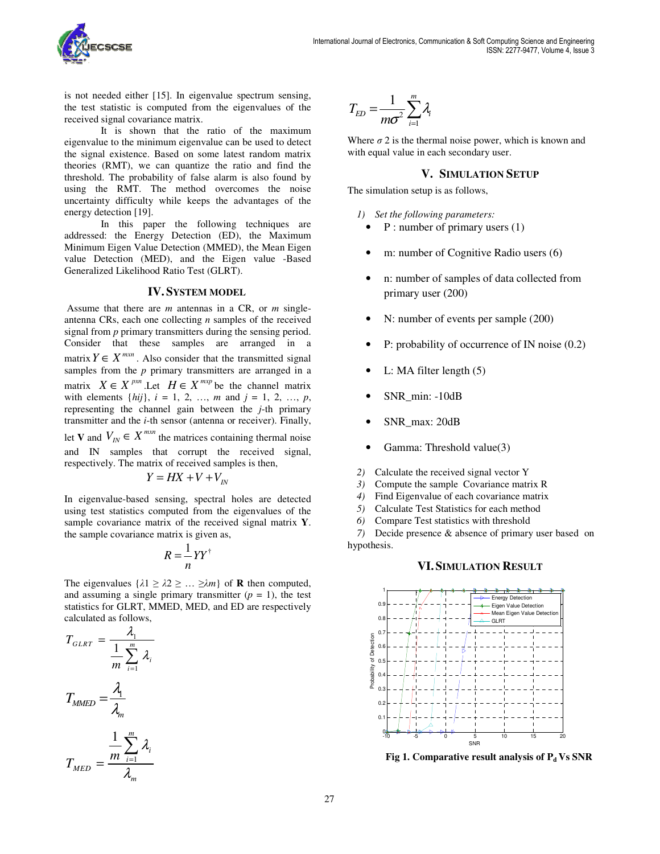

is not needed either [15]. In eigenvalue spectrum sensing, the test statistic is computed from the eigenvalues of the received signal covariance matrix.

It is shown that the ratio of the maximum eigenvalue to the minimum eigenvalue can be used to detect the signal existence. Based on some latest random matrix theories (RMT), we can quantize the ratio and find the threshold. The probability of false alarm is also found by using the RMT. The method overcomes the noise uncertainty difficulty while keeps the advantages of the energy detection [19].

In this paper the following techniques are addressed: the Energy Detection (ED), the Maximum Minimum Eigen Value Detection (MMED), the Mean Eigen value Detection (MED), and the Eigen value -Based Generalized Likelihood Ratio Test (GLRT).

### **IV. SYSTEM MODEL**

 Assume that there are *m* antennas in a CR, or *m* singleantenna CRs, each one collecting *n* samples of the received signal from *p* primary transmitters during the sensing period. Consider that these samples are arranged in a matrix  $Y \in X^{m \times n}$ . Also consider that the transmitted signal samples from the *p* primary transmitters are arranged in a matrix  $X \in X^{p \times n}$ . Let  $H \in X^{m \times p}$  be the channel matrix with elements  $\{hij\}$ ,  $i = 1, 2, ..., m$  and  $j = 1, 2, ..., p$ , representing the channel gain between the *j*-th primary transmitter and the *i*-th sensor (antenna or receiver). Finally, let **V** and  $V_{IN} \in X^{m \times n}$  the matrices containing thermal noise and IN samples that corrupt the received signal, respectively. The matrix of received samples is then,

$$
Y = HX + V + V_{IN}
$$

In eigenvalue-based sensing, spectral holes are detected using test statistics computed from the eigenvalues of the sample covariance matrix of the received signal matrix **Y**. the sample covariance matrix is given as,

$$
R=\frac{1}{n}YY^{\dagger}
$$

The eigenvalues  $\{\lambda 1 \geq \lambda 2 \geq \ldots \geq \lambda m\}$  of **R** then computed, and assuming a single primary transmitter  $(p = 1)$ , the test statistics for GLRT, MMED, MED, and ED are respectively calculated as follows,

$$
T_{GLRT} = \frac{\lambda_1}{\frac{1}{m} \sum_{i=1}^{m} \lambda_i}
$$

$$
T_{MMED} = \frac{\lambda_1}{\lambda_m}
$$

$$
T_{MED} = \frac{\frac{1}{m} \sum_{i=1}^{m} \lambda_i}{\frac{1}{m} \sum_{i=1}^{m} \lambda_i}
$$

λ

*m* λ

$$
T_{ED} = \frac{1}{m\sigma^2} \sum_{i=1}^{m} \lambda_i
$$

Where  $\sigma$  2 is the thermal noise power, which is known and with equal value in each secondary user.

#### **V. SIMULATION SETUP**

The simulation setup is as follows,

- *1) Set the following parameters:* 
	- P : number of primary users (1)
	- m: number of Cognitive Radio users (6)
	- n: number of samples of data collected from primary user (200)
	- N: number of events per sample (200)
	- P: probability of occurrence of IN noise (0.2)
	- L: MA filter length  $(5)$
	- SNR\_min: -10dB
	- SNR\_max: 20dB
	- Gamma: Threshold value(3)
- *2)* Calculate the received signal vector Y
- *3)* Compute the sample Covariance matrix R
- *4)* Find Eigenvalue of each covariance matrix
- *5)* Calculate Test Statistics for each method
- *6)* Compare Test statistics with threshold

*7)* Decide presence & absence of primary user based on hypothesis.

# **VI. SIMULATION RESULT**



**Fig 1. Comparative result analysis of Pd Vs SNR**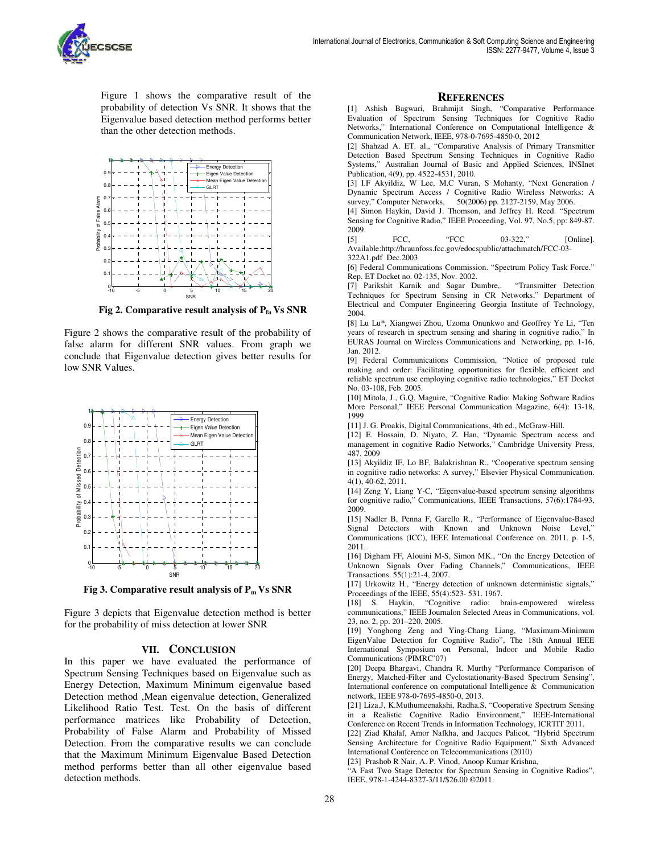

Figure 1 shows the comparative result of the probability of detection Vs SNR. It shows that the Eigenvalue based detection method performs better than the other detection methods.



**Fig 2. Comparative result analysis of**  $P_{f_a}$  **<b>Vs SNR** 

Figure 2 shows the comparative result of the probability of false alarm for different SNR values. From graph we conclude that Eigenvalue detection gives better results for low SNR Values.



**Fig 3. Comparative result analysis of Pm Vs SNR** 

Figure 3 depicts that Eigenvalue detection method is better for the probability of miss detection at lower SNR

#### **VII. CONCLUSION**

In this paper we have evaluated the performance of Spectrum Sensing Techniques based on Eigenvalue such as Energy Detection, Maximum Minimum eigenvalue based Detection method ,Mean eigenvalue detection, Generalized Likelihood Ratio Test. Test. On the basis of different performance matrices like Probability of Detection, Probability of False Alarm and Probability of Missed Detection. From the comparative results we can conclude that the Maximum Minimum Eigenvalue Based Detection method performs better than all other eigenvalue based detection methods.

#### **REFERENCES**

[1] Ashish Bagwari, Brahmijit Singh, "Comparative Performance Evaluation of Spectrum Sensing Techniques for Cognitive Radio Networks," International Conference on Computational Intelligence & Communication Network, IEEE, 978-0-7695-4850-0, 2012

[2] Shahzad A. ET. al., "Comparative Analysis of Primary Transmitter Detection Based Spectrum Sensing Techniques in Cognitive Radio Systems," Australian Journal of Basic and Applied Sciences, INSInet Publication, 4(9), pp. 4522-4531, 2010.

[3] I.F Akyildiz, W Lee, M.C Vuran, S Mohanty, "Next Generation / Dynamic Spectrum Access / Cognitive Radio Wireless Networks: A survey," Computer Networks, 50(2006) pp. 2127-2159, May 2006.

[4] Simon Haykin, David J. Thomson, and Jeffrey H. Reed. "Spectrum Sensing for Cognitive Radio," IEEE Proceeding, Vol. 97, No.5, pp: 849-87. 2009.

[5] FCC, "FCC 03-322," [Online]. Available:http://hraunfoss.fcc.gov/edocspublic/attachmatch/FCC-03-

322A1.pdf Dec.2003

[6] Federal Communications Commission. "Spectrum Policy Task Force." Rep. ET Docket no. 02-135, Nov. 2002.

[7] Parikshit Karnik and Sagar Dumbre,. "Transmitter Detection Techniques for Spectrum Sensing in CR Networks," Department of Electrical and Computer Engineering Georgia Institute of Technology, 2004.

[8] Lu Lu\*, Xiangwei Zhou, Uzoma Onunkwo and Geoffrey Ye Li, "Ten years of research in spectrum sensing and sharing in cognitive radio," In EURAS Journal on Wireless Communications and Networking, pp. 1-16, Jan. 2012.

[9] Federal Communications Commission, "Notice of proposed rule making and order: Facilitating opportunities for flexible, efficient and reliable spectrum use employing cognitive radio technologies," ET Docket No. 03-108, Feb. 2005.

[10] Mitola, J., G.Q. Maguire, "Cognitive Radio: Making Software Radios More Personal," IEEE Personal Communication Magazine, 6(4): 13-18, 1999

[11] J. G. Proakis, Digital Communications, 4th ed., McGraw-Hill.

[12] E. Hossain, D. Niyato, Z. Han, "Dynamic Spectrum access and management in cognitive Radio Networks," Cambridge University Press, 487, 2009

[13] Akyildiz IF, Lo BF, Balakrishnan R., "Cooperative spectrum sensing in cognitive radio networks: A survey," Elsevier Physical Communication. 4(1), 40-62, 2011.

[14] Zeng Y, Liang Y-C, "Eigenvalue-based spectrum sensing algorithms for cognitive radio," Communications, IEEE Transactions, 57(6):1784-93, 2009.

[15] Nadler B, Penna F, Garello R., "Performance of Eigenvalue-Based Signal Detectors with Known and Unknown Noise Level," Communications (ICC), IEEE International Conference on. 2011. p. 1-5, 2011.

[16] Digham FF, Alouini M-S, Simon MK., "On the Energy Detection of Unknown Signals Over Fading Channels," Communications, IEEE Transactions. 55(1):21-4, 2007.

[17] Urkowitz H., "Energy detection of unknown deterministic signals," Proceedings of the IEEE, 55(4):523- 531. 1967.

[18] S. Haykin, "Cognitive radio: brain-empowered communications," IEEE Journalon Selected Areas in Communications, vol. 23, no. 2, pp. 201–220, 2005.

[19] Yonghong Zeng and Ying-Chang Liang, "Maximum-Minimum EigenValue Detection for Cognitive Radio", The 18th Annual IEEE International Symposium on Personal, Indoor and Mobile Radio Communications (PIMRC'07)

[20] Deepa Bhargavi, Chandra R. Murthy "Performance Comparison of Energy, Matched-Filter and Cyclostationarity-Based Spectrum Sensing", International conference on computational Intelligence  $\&$  Communication network, IEEE 978-0-7695-4850-0, 2013.

[21] Liza.J, K.Muthumeenakshi, Radha.S, "Cooperative Spectrum Sensing in a Realistic Cognitive Radio Environment," IEEE-International Conference on Recent Trends in Information Technology, ICRTIT 2011.

[22] Ziad Khalaf, Amor Nafkha, and Jacques Palicot, "Hybrid Spectrum Sensing Architecture for Cognitive Radio Equipment," Sixth Advanced International Conference on Telecommunications (2010)

[23] Prashob R Nair, A. P. Vinod, Anoop Kumar Krishna,

"A Fast Two Stage Detector for Spectrum Sensing in Cognitive Radios", IEEE, 978-1-4244-8327-3/11/\$26.00 ©2011.